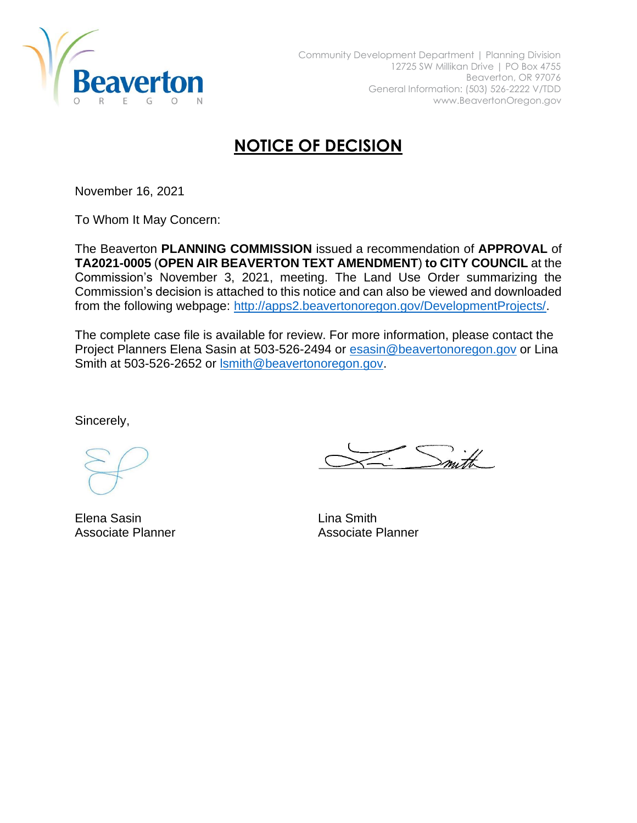

## **NOTICE OF DECISION**

November 16, 2021

To Whom It May Concern:

The Beaverton **PLANNING COMMISSION** issued a recommendation of **APPROVAL** of **TA2021-0005** (**OPEN AIR BEAVERTON TEXT AMENDMENT**) **to CITY COUNCIL** at the Commission's November 3, 2021, meeting. The Land Use Order summarizing the Commission's decision is attached to this notice and can also be viewed and downloaded from the following webpage: [http://apps2.beavertonoregon.gov/DevelopmentProjects/.](http://apps2.beavertonoregon.gov/DevelopmentProjects/)

The complete case file is available for review. For more information, please contact the Project Planners Elena Sasin at 503-526-2494 or [esasin@beavertonoregon.gov](mailto:esasin@beavertonoregon.gov) or Lina Smith at 503-526-2652 or [lsmith@beavertonoregon.gov.](mailto:lsmith@beavertonoregon.gov)

Sincerely,

Elena Sasin Associate Planner

Lina Smith Associate Planner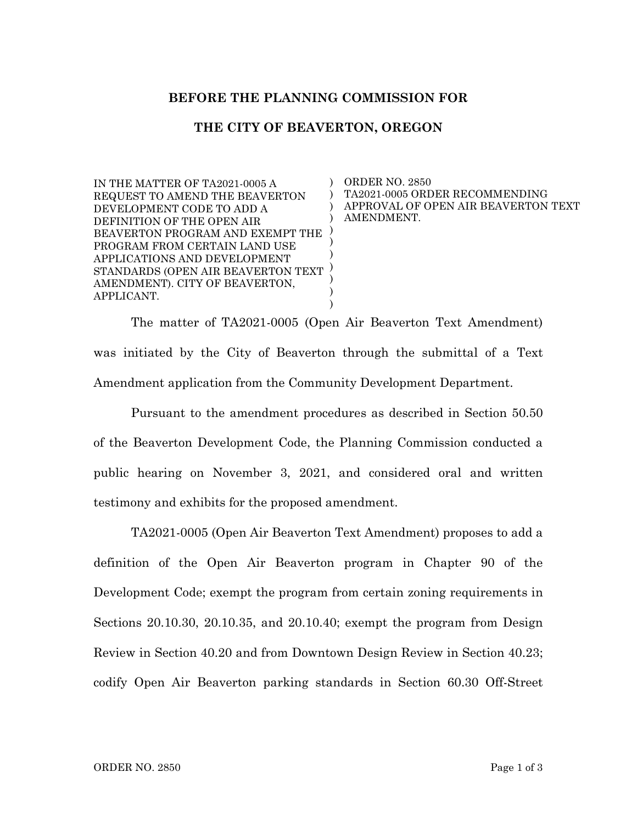## **BEFORE THE PLANNING COMMISSION FOR**

## **THE CITY OF BEAVERTON, OREGON**

) ) ) ) ) ) )

) ) )

IN THE MATTER OF TA2021-0005 A REQUEST TO AMEND THE BEAVERTON DEVELOPMENT CODE TO ADD A DEFINITION OF THE OPEN AIR BEAVERTON PROGRAM AND EXEMPT THE PROGRAM FROM CERTAIN LAND USE APPLICATIONS AND DEVELOPMENT STANDARDS (OPEN AIR BEAVERTON TEXT ) AMENDMENT). CITY OF BEAVERTON, APPLICANT.

ORDER NO. 2850 TA2021-0005 ORDER RECOMMENDING APPROVAL OF OPEN AIR BEAVERTON TEXT AMENDMENT.

The matter of TA2021-0005 (Open Air Beaverton Text Amendment) was initiated by the City of Beaverton through the submittal of a Text Amendment application from the Community Development Department.

Pursuant to the amendment procedures as described in Section 50.50 of the Beaverton Development Code, the Planning Commission conducted a public hearing on November 3, 2021, and considered oral and written testimony and exhibits for the proposed amendment.

TA2021-0005 (Open Air Beaverton Text Amendment) proposes to add a definition of the Open Air Beaverton program in Chapter 90 of the Development Code; exempt the program from certain zoning requirements in Sections 20.10.30, 20.10.35, and 20.10.40; exempt the program from Design Review in Section 40.20 and from Downtown Design Review in Section 40.23; codify Open Air Beaverton parking standards in Section 60.30 Off-Street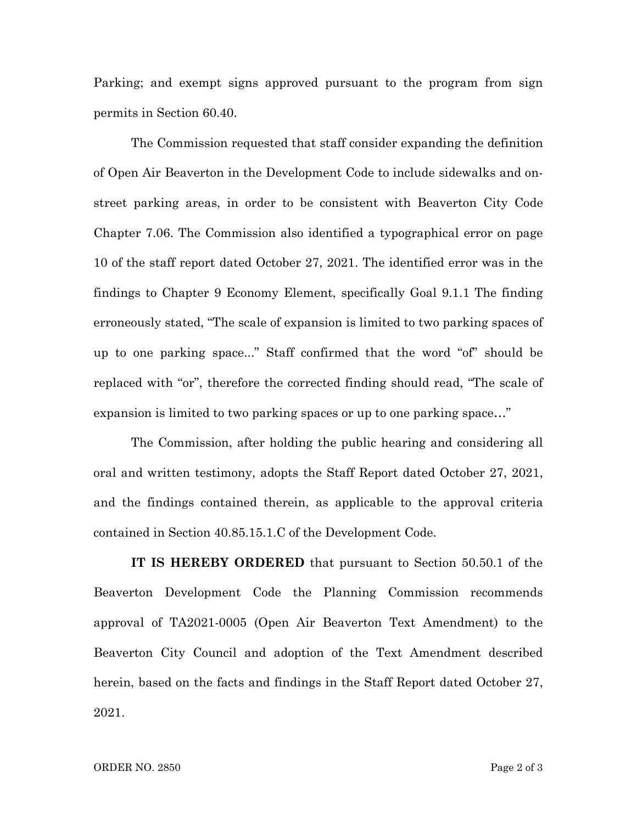Parking; and exempt signs approved pursuant to the program from sign permits in Section 60.40.

The Commission requested that staff consider expanding the definition of Open Air Beaverton in the Development Code to include sidewalks and onstreet parking areas, in order to be consistent with Beaverton City Code Chapter 7.06. The Commission also identified a typographical error on page 10 of the staff report dated October 27, 2021. The identified error was in the findings to Chapter 9 Economy Element, specifically Goal 9.1.1 The finding erroneously stated, "The scale of expansion is limited to two parking spaces of up to one parking space..." Staff confirmed that the word "of" should be replaced with "or", therefore the corrected finding should read, "The scale of expansion is limited to two parking spaces or up to one parking space…"

The Commission, after holding the public hearing and considering all oral and written testimony, adopts the Staff Report dated October 27, 2021, and the findings contained therein, as applicable to the approval criteria contained in Section 40.85.15.1.C of the Development Code.

**IT IS HEREBY ORDERED** that pursuant to Section 50.50.1 of the Beaverton Development Code the Planning Commission recommends approval of TA2021-0005 (Open Air Beaverton Text Amendment) to the Beaverton City Council and adoption of the Text Amendment described herein, based on the facts and findings in the Staff Report dated October 27, 2021.